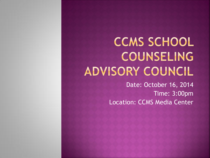# **CCMS SCHOOL** COUNSELING ADVISORY COUNCIL

Date: October 16, 2014 Time: 3:00pm Location: CCMS Media Center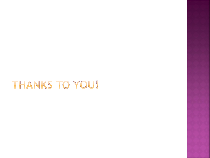# THANKS TO YOU!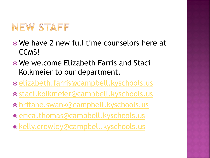# NEW STAFF

- We have 2 new full time counselors here at CCMS!
- We welcome Elizabeth Farris and Staci Kolkmeier to our department.
- **[elizabeth.farris@campbell.kyschools.us](mailto:elizabeth.farris@campbell.kyschools.us)**
- [staci.kolkmeier@campbell.kyschools.us](mailto:staci.kolkmeier@campbell.kyschools.us)
- [britane.swank@campbell.kyschools.us](mailto:britane.swank@campbell.kyschools.us)
- [erica.thomas@campbell.kyschools.us](mailto:erica.thomas@campbell.kyschools.us)
- [kelly.crowley@campbell.kyschools.us](mailto:Kelly.crowley@campbell.kyschools.us)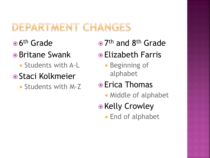#### DEPARTMENT CHANGES

- <sup>● 6th</sup> Grade
- **•** Britane Swank
	- **Students with A-L**
- **Staci Kolkmeier** 
	- Students with M-Z
- 7<sup>th</sup> and 8<sup>th</sup> Grade
- Elizabeth Farris
	- **Beginning of** alphabet
- **■** Erica Thomas
	- **Middle of alphabet**
- Kelly Crowley
	- **End of alphabet**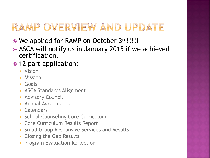# RAMP OVERVIEW AND UPDATE

- We applied for RAMP on October 3rd!!!!!
- ASCA will notify us in January 2015 if we achieved certification.
- 12 part application:
	- **N** Vision
	- **Mission**
	- Goals
	- **ASCA Standards Alignment**
	- **Advisory Council**
	- **Annual Agreements**
	- **Calendars**
	- **School Counseling Core Curriculum**
	- **Core Curriculum Results Report**
	- **Small Group Responsive Services and Results**
	- **Closing the Gap Results**
	- **Program Evaluation Reflection**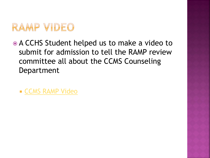

- A CCHS Student helped us to make a video to submit for admission to tell the RAMP review committee all about the CCMS Counseling Department
	- **E [CCMS RAMP Video](E:/RAMP/Ready to Upload/CCMS RAMP (1).wmv)**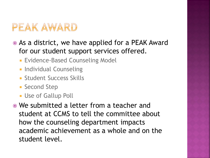#### PEAK AWARD

- As a district, we have applied for a PEAK Award for our student support services offered.
	- **Evidence-Based Counseling Model**
	- **Individual Counseling**
	- **Student Success Skills**
	- **Second Step**
	- **Use of Gallup Poll**
- We submitted a letter from a teacher and student at CCMS to tell the committee about how the counseling department impacts academic achievement as a whole and on the student level.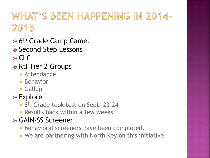# WHAT'S BEEN HAPPENING IN 2014-2015

- <sup>● 6th</sup> Grade Camp Camel
- Second Step Lessons
- ⊙ CLC
- RtI Tier 2 Groups
	- **Attendance**
	- **Behavior**
	- **Gallup**
- **◎ Explore** 
	- 8<sup>th</sup> Grade took test on Sept. 23-24
	- **Results back within a few weeks**
- GAIN-SS Screener
	- **Behavioral screeners have been completed.**
	- We are partnering with North Key on this initiative.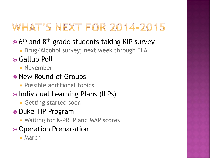# WHAT'S NEXT FOR 2014-2015

- 6<sup>th</sup> and 8<sup>th</sup> grade students taking KIP survey
	- **Drug/Alcohol survey; next week through ELA**
- Gallup Poll
	- **November**
- New Round of Groups
	- **Possible additional topics**
- Individual Learning Plans (ILPs)
	- **Getting started soon**
- Duke TIP Program
	- **Naiting for K-PREP and MAP scores**
- Operation Preparation
	- **March**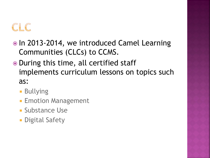# $CHC$

- In 2013-2014, we introduced Camel Learning Communities (CLCs) to CCMS.
- During this time, all certified staff implements curriculum lessons on topics such as:
	- **Bullying**
	- **Emotion Management**
	- **Substance Use**
	- **Digital Safety**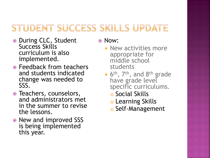#### STUDENT SUCCESS SKILLS UPDATE

- During CLC, Student Success Skills curriculum is also implemented.
- Feedback from teachers and students indicated change was needed to SSS.
- Teachers, counselors, and administrators met in the summer to revise the lessons.
- New and improved SSS is being implemented this year.

Now:

- **New activities more** appropriate for middle school students
- **6th, 7th, and 8th grade** have grade level specific curriculums.
	- **o** Social Skills
	- **o** Learning Skills
	- o Self-Management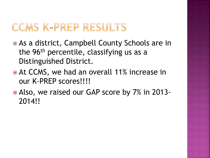### CCMS K-PREP RESULTS

- As a district, Campbell County Schools are in the 96<sup>th</sup> percentile, classifying us as a Distinguished District.
- At CCMS, we had an overall 11% increase in our K-PREP scores!!!!
- Also, we raised our GAP score by 7% in 2013- 2014!!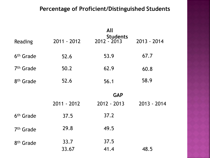#### **Percentage of Proficient/Distinguished Students**

| Reading               | $2011 - 2012$ | All<br><b>Students</b><br>2012 - 2013 | 2013 - 2014 |
|-----------------------|---------------|---------------------------------------|-------------|
| 6 <sup>th</sup> Grade | 52.6          | 53.9                                  | 67.7        |
| 7 <sup>th</sup> Grade | 50.2          | 62.9                                  | 60.8        |
| 8 <sup>th</sup> Grade | 52.6          | 56.1                                  | 58.9        |
|                       | 2011 - 2012   | <b>GAP</b><br>$2012 - 2013$           | 2013 - 2014 |
| 6 <sup>th</sup> Grade | 37.5          | 37.2                                  |             |
| 7 <sup>th</sup> Grade | 29.8          | 49.5                                  |             |
| 8 <sup>th</sup> Grade | 33.7<br>33.67 | 37.5<br>41.4                          | 48.5        |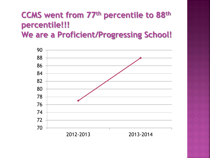# **CCMS went from 77th percentile to 88th percentile!!!**

**We are a Proficient/Progressing School!**